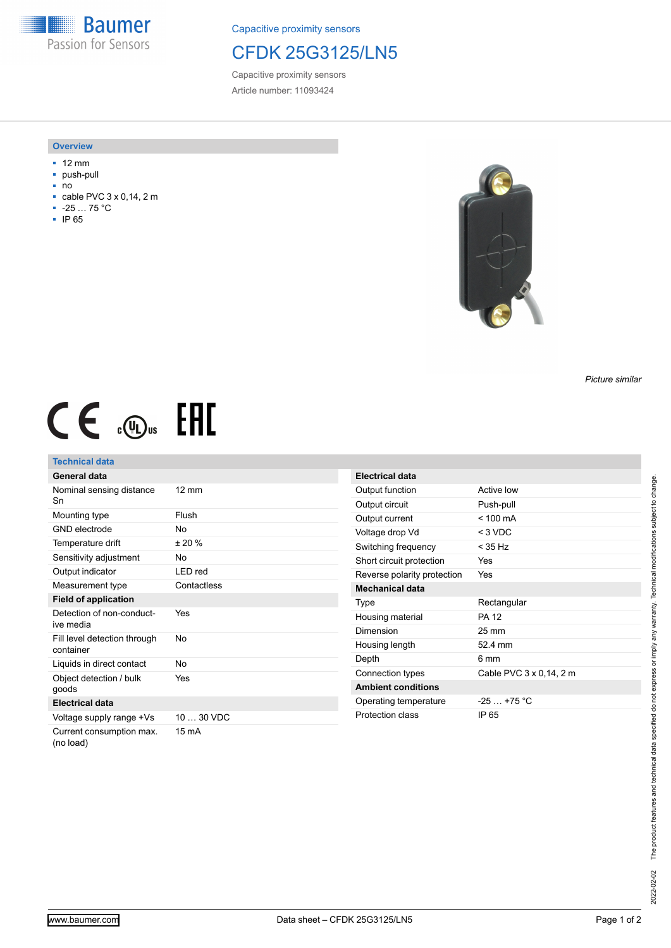**Baumer** Passion for Sensors

Capacitive proximity sensors

## CFDK 25G3125/LN5

Capacitive proximity sensors Article number: 11093424

#### **Overview**

- 12 mm
- push-pull
- no
- $\overline{=}$  cable PVC 3 x 0,14, 2 m  $-25...75 °C$
- 
- IP 65



### *Picture similar*

# $CE \mathcal{L}$  (Dus FAL

## **Technical data**

| General data                              |                 |
|-------------------------------------------|-----------------|
| Nominal sensing distance<br>Sn            | $12 \text{ mm}$ |
| Mounting type                             | Flush           |
| <b>GND</b> electrode                      | N٥              |
| Temperature drift                         | ± 20%           |
| Sensitivity adjustment                    | No              |
| Output indicator                          | LED red         |
| Measurement type                          | Contactless     |
| <b>Field of application</b>               |                 |
| Detection of non-conduct-<br>ive media    | Yes             |
| Fill level detection through<br>container | No              |
| Liquids in direct contact                 | No              |
| Object detection / bulk<br>goods          | Yes             |
| <b>Electrical data</b>                    |                 |
| Voltage supply range +Vs                  | 10  30 VDC      |
| Current consumption max.<br>(no load)     | 15 mA           |

| <b>Electrical data</b>      |                         |
|-----------------------------|-------------------------|
|                             |                         |
| Output function             | Active low              |
| Output circuit              | Push-pull               |
| Output current              | $< 100 \text{ mA}$      |
| Voltage drop Vd             | $<$ 3 VDC               |
| Switching frequency         | $<$ 35 Hz               |
| Short circuit protection    | Yes                     |
| Reverse polarity protection | Yes                     |
| <b>Mechanical data</b>      |                         |
| Type                        | Rectangular             |
| Housing material            | <b>PA 12</b>            |
| Dimension                   | 25 mm                   |
| Housing length              | 52 4 mm                 |
| Depth                       | ճ mm                    |
| Connection types            | Cable PVC 3 x 0.14, 2 m |
| <b>Ambient conditions</b>   |                         |
| Operating temperature       | $-25+75$ °C             |
| Protection class            | IP 65                   |